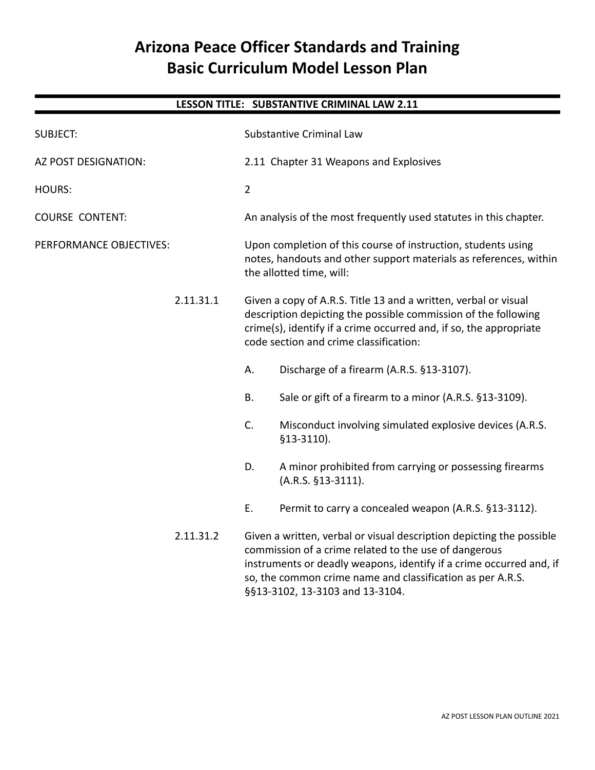# **Arizona Peace Officer Standards and Training Basic Curriculum Model Lesson Plan**

# **LESSON TITLE: SUBSTANTIVE CRIMINAL LAW 2.11** SUBJECT: Substantive Criminal Law AZ POST DESIGNATION: 2.11 Chapter 31 Weapons and Explosives HOURS: 2 COURSE CONTENT: An analysis of the most frequently used statutes in this chapter. PERFORMANCE OBJECTIVES: Upon completion of this course of instruction, students using notes, handouts and other support materials as references, within the allotted time, will: 2.11.31.1 Given a copy of A.R.S. Title 13 and a written, verbal or visual description depicting the possible commission of the following crime(s), identify if a crime occurred and, if so, the appropriate code section and crime classification: A. Discharge of a firearm (A.R.S. §13-3107). B. Sale or gift of a firearm to a minor (A.R.S. §13-3109). C. Misconduct involving simulated explosive devices (A.R.S. §13-3110). D. A minor prohibited from carrying or possessing firearms (A.R.S. §13-3111). E. Permit to carry a concealed weapon (A.R.S. §13-3112). 2.11.31.2 Given a written, verbal or visual description depicting the possible commission of a crime related to the use of dangerous instruments or deadly weapons, identify if a crime occurred and, if so, the common crime name and classification as per A.R.S.

§§13-3102, 13-3103 and 13-3104.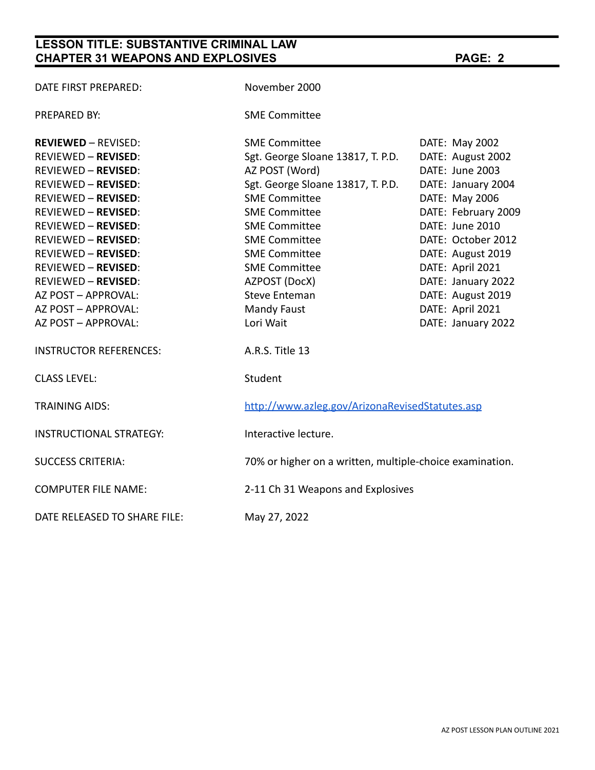## **LESSON TITLE: SUBSTANTIVE CRIMINAL LAW CHAPTER 31 WEAPONS AND EXPLOSIVES PAGE: 2**

| DATE FIRST PREPARED:          | November 2000                                            |                     |
|-------------------------------|----------------------------------------------------------|---------------------|
| PREPARED BY:                  | <b>SME Committee</b>                                     |                     |
| <b>REVIEWED - REVISED:</b>    | <b>SME Committee</b>                                     | DATE: May 2002      |
| REVIEWED - REVISED:           | Sgt. George Sloane 13817, T. P.D.                        | DATE: August 2002   |
| REVIEWED - REVISED:           | AZ POST (Word)                                           | DATE: June 2003     |
| REVIEWED - REVISED:           | Sgt. George Sloane 13817, T. P.D.                        | DATE: January 2004  |
| REVIEWED - REVISED:           | <b>SME Committee</b>                                     | DATE: May 2006      |
| REVIEWED - REVISED:           | <b>SME Committee</b>                                     | DATE: February 2009 |
| REVIEWED – <b>REVISED</b> :   | <b>SME Committee</b>                                     | DATE: June 2010     |
| REVIEWED - REVISED:           | <b>SME Committee</b>                                     | DATE: October 2012  |
| REVIEWED - REVISED:           | <b>SME Committee</b>                                     | DATE: August 2019   |
| REVIEWED - REVISED:           | <b>SME Committee</b>                                     | DATE: April 2021    |
| REVIEWED - REVISED:           | AZPOST (DocX)                                            | DATE: January 2022  |
| AZ POST – APPROVAL:           | <b>Steve Enteman</b>                                     | DATE: August 2019   |
| AZ POST – APPROVAL:           | Mandy Faust                                              | DATE: April 2021    |
| AZ POST – APPROVAL:           | Lori Wait                                                | DATE: January 2022  |
| <b>INSTRUCTOR REFERENCES:</b> | A.R.S. Title 13                                          |                     |
| <b>CLASS LEVEL:</b>           | Student                                                  |                     |
| TRAINING AIDS:                | http://www.azleg.gov/ArizonaRevisedStatutes.asp          |                     |
| INSTRUCTIONAL STRATEGY:       | Interactive lecture.                                     |                     |
| <b>SUCCESS CRITERIA:</b>      | 70% or higher on a written, multiple-choice examination. |                     |
| COMPUTER FILE NAME:           | 2-11 Ch 31 Weapons and Explosives                        |                     |
| DATE RELEASED TO SHARE FILE:  | May 27, 2022                                             |                     |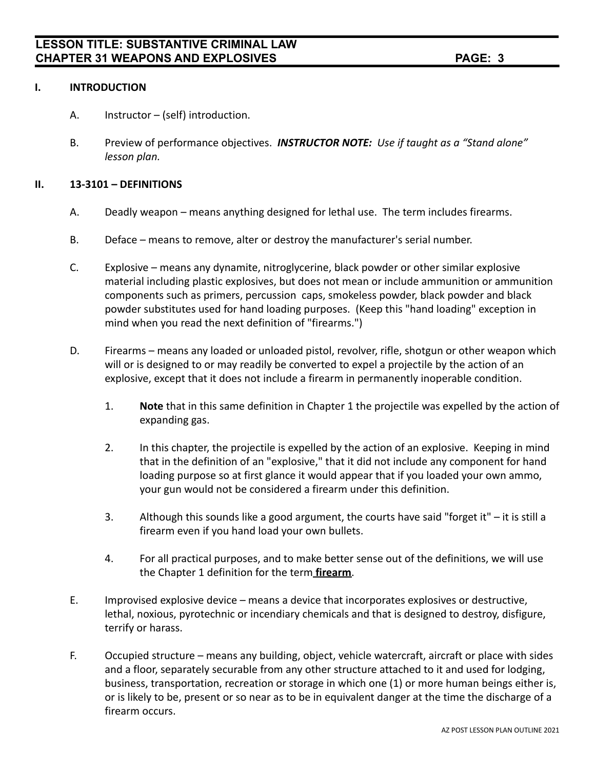## **I. INTRODUCTION**

- A. Instructor (self) introduction.
- B. Preview of performance objectives. *INSTRUCTOR NOTE: Use if taught as a "Stand alone" lesson plan.*

## **II. 13-3101 – DEFINITIONS**

- A. Deadly weapon means anything designed for lethal use. The term includes firearms.
- B. Deface means to remove, alter or destroy the manufacturer's serial number.
- C. Explosive means any dynamite, nitroglycerine, black powder or other similar explosive material including plastic explosives, but does not mean or include ammunition or ammunition components such as primers, percussion caps, smokeless powder, black powder and black powder substitutes used for hand loading purposes. (Keep this "hand loading" exception in mind when you read the next definition of "firearms.")
- D. Firearms means any loaded or unloaded pistol, revolver, rifle, shotgun or other weapon which will or is designed to or may readily be converted to expel a projectile by the action of an explosive, except that it does not include a firearm in permanently inoperable condition.
	- 1. **Note** that in this same definition in Chapter 1 the projectile was expelled by the action of expanding gas.
	- 2. In this chapter, the projectile is expelled by the action of an explosive. Keeping in mind that in the definition of an "explosive," that it did not include any component for hand loading purpose so at first glance it would appear that if you loaded your own ammo, your gun would not be considered a firearm under this definition.
	- 3. Although this sounds like a good argument, the courts have said "forget it" it is still a firearm even if you hand load your own bullets.
	- 4. For all practical purposes, and to make better sense out of the definitions, we will use the Chapter 1 definition for the term **firearm**.
- E. Improvised explosive device means a device that incorporates explosives or destructive, lethal, noxious, pyrotechnic or incendiary chemicals and that is designed to destroy, disfigure, terrify or harass.
- F. Occupied structure means any building, object, vehicle watercraft, aircraft or place with sides and a floor, separately securable from any other structure attached to it and used for lodging, business, transportation, recreation or storage in which one (1) or more human beings either is, or is likely to be, present or so near as to be in equivalent danger at the time the discharge of a firearm occurs.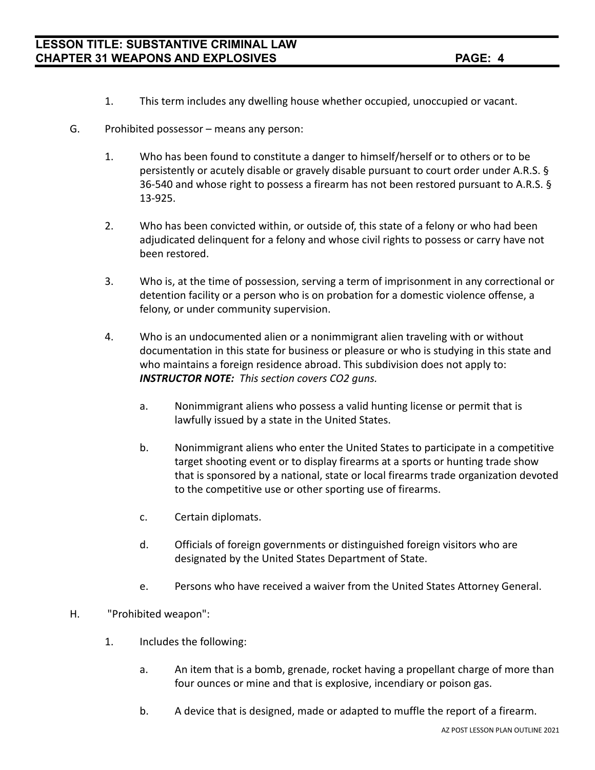- 1. This term includes any dwelling house whether occupied, unoccupied or vacant.
- G. Prohibited possessor means any person:
	- 1. Who has been found to constitute a danger to himself/herself or to others or to be persistently or acutely disable or gravely disable pursuant to court order under A.R.S. § 36-540 and whose right to possess a firearm has not been restored pursuant to A.R.S. § 13-925.
	- 2. Who has been convicted within, or outside of, this state of a felony or who had been adjudicated delinquent for a felony and whose civil rights to possess or carry have not been restored.
	- 3. Who is, at the time of possession, serving a term of imprisonment in any correctional or detention facility or a person who is on probation for a domestic violence offense, a felony, or under community supervision.
	- 4. Who is an undocumented alien or a nonimmigrant alien traveling with or without documentation in this state for business or pleasure or who is studying in this state and who maintains a foreign residence abroad. This subdivision does not apply to: *INSTRUCTOR NOTE: This section covers CO2 guns.*
		- a. Nonimmigrant aliens who possess a valid hunting license or permit that is lawfully issued by a state in the United States.
		- b. Nonimmigrant aliens who enter the United States to participate in a competitive target shooting event or to display firearms at a sports or hunting trade show that is sponsored by a national, state or local firearms trade organization devoted to the competitive use or other sporting use of firearms.
		- c. Certain diplomats.
		- d. Officials of foreign governments or distinguished foreign visitors who are designated by the United States Department of State.
		- e. Persons who have received a waiver from the United States Attorney General.

## H. "Prohibited weapon":

- 1. Includes the following:
	- a. An item that is a bomb, grenade, rocket having a propellant charge of more than four ounces or mine and that is explosive, incendiary or poison gas.
	- b. A device that is designed, made or adapted to muffle the report of a firearm.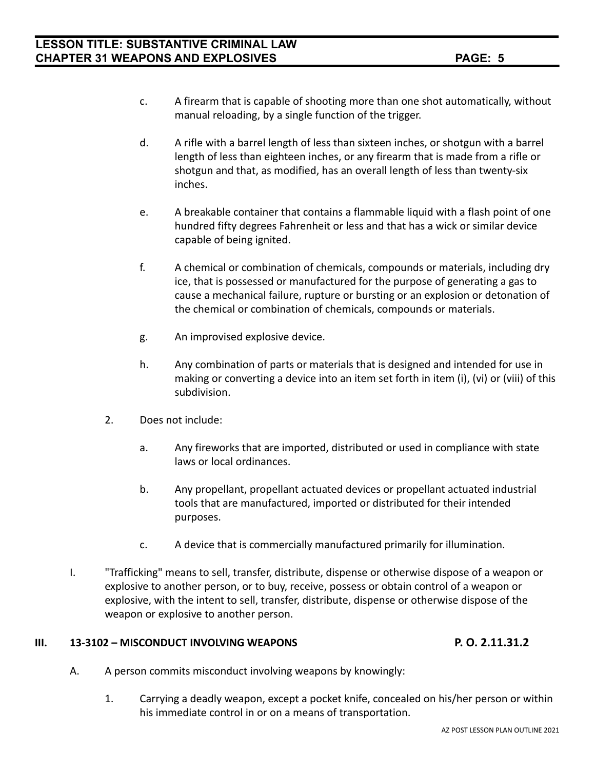- c. A firearm that is capable of shooting more than one shot automatically, without manual reloading, by a single function of the trigger.
- d. A rifle with a barrel length of less than sixteen inches, or shotgun with a barrel length of less than eighteen inches, or any firearm that is made from a rifle or shotgun and that, as modified, has an overall length of less than twenty-six inches.
- e. A breakable container that contains a flammable liquid with a flash point of one hundred fifty degrees Fahrenheit or less and that has a wick or similar device capable of being ignited.
- f. A chemical or combination of chemicals, compounds or materials, including dry ice, that is possessed or manufactured for the purpose of generating a gas to cause a mechanical failure, rupture or bursting or an explosion or detonation of the chemical or combination of chemicals, compounds or materials.
- g. An improvised explosive device.
- h. Any combination of parts or materials that is designed and intended for use in making or converting a device into an item set forth in item (i), (vi) or (viii) of this subdivision.
- 2. Does not include:
	- a. Any fireworks that are imported, distributed or used in compliance with state laws or local ordinances.
	- b. Any propellant, propellant actuated devices or propellant actuated industrial tools that are manufactured, imported or distributed for their intended purposes.
	- c. A device that is commercially manufactured primarily for illumination.
- I. "Trafficking" means to sell, transfer, distribute, dispense or otherwise dispose of a weapon or explosive to another person, or to buy, receive, possess or obtain control of a weapon or explosive, with the intent to sell, transfer, distribute, dispense or otherwise dispose of the weapon or explosive to another person.

## **III. 13-3102 – MISCONDUCT INVOLVING WEAPONS P. O. 2.11.31.2**

- A. A person commits misconduct involving weapons by knowingly:
	- 1. Carrying a deadly weapon, except a pocket knife, concealed on his/her person or within his immediate control in or on a means of transportation.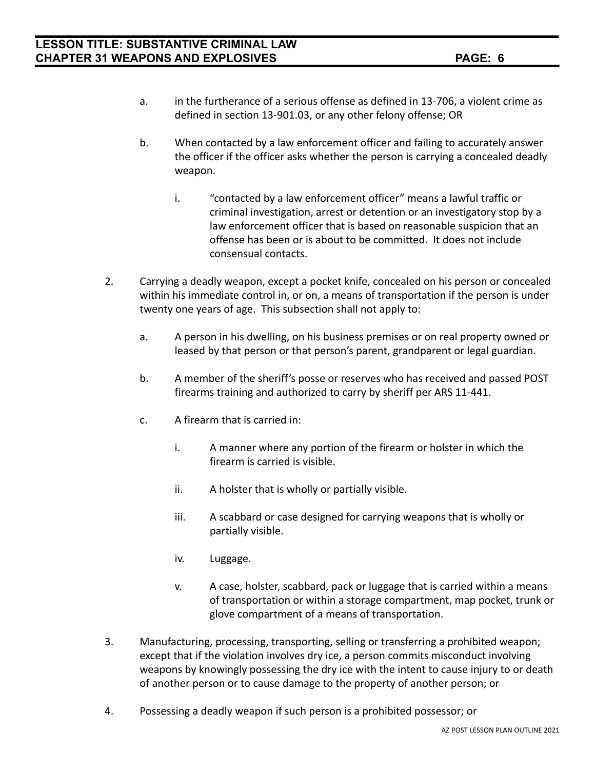- a. in the furtherance of a serious offense as defined in 13-706, a violent crime as defined in section 13-901.03, or any other felony offense; OR
- b. When contacted by a law enforcement officer and failing to accurately answer the officer if the officer asks whether the person is carrying a concealed deadly weapon.
	- i. "contacted by a law enforcement officer" means a lawful traffic or criminal investigation, arrest or detention or an investigatory stop by a law enforcement officer that is based on reasonable suspicion that an offense has been or is about to be committed. It does not include consensual contacts.
- 2. Carrying a deadly weapon, except a pocket knife, concealed on his person or concealed within his immediate control in, or on, a means of transportation if the person is under twenty one years of age. This subsection shall not apply to:
	- a. A person in his dwelling, on his business premises or on real property owned or leased by that person or that person's parent, grandparent or legal guardian.
	- b. A member of the sheriff's posse or reserves who has received and passed POST firearms training and authorized to carry by sheriff per ARS 11-441.
	- c. A firearm that is carried in:
		- i. A manner where any portion of the firearm or holster in which the firearm is carried is visible.
		- ii. A holster that is wholly or partially visible.
		- iii. A scabbard or case designed for carrying weapons that is wholly or partially visible.
		- iv. Luggage.
		- v. A case, holster, scabbard, pack or luggage that is carried within a means of transportation or within a storage compartment, map pocket, trunk or glove compartment of a means of transportation.
- 3. Manufacturing, processing, transporting, selling or transferring a prohibited weapon; except that if the violation involves dry ice, a person commits misconduct involving weapons by knowingly possessing the dry ice with the intent to cause injury to or death of another person or to cause damage to the property of another person; or
- 4. Possessing a deadly weapon if such person is a prohibited possessor; or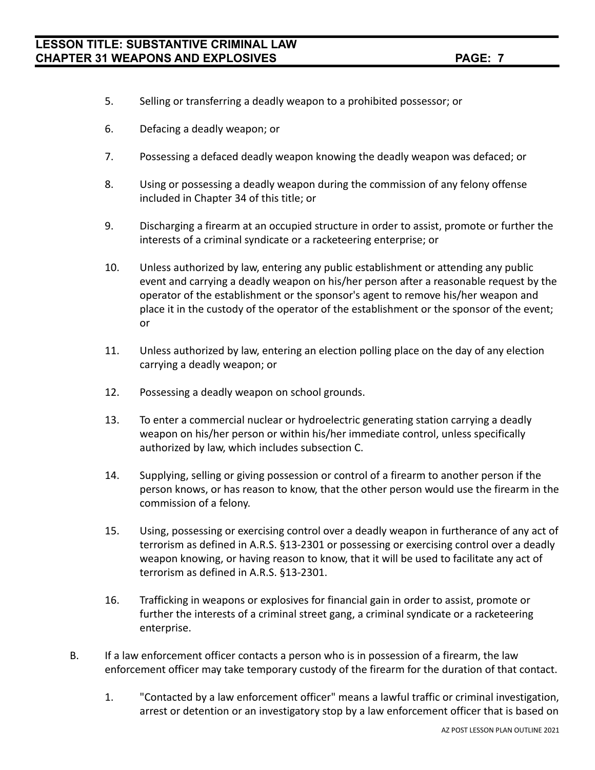- 5. Selling or transferring a deadly weapon to a prohibited possessor; or
- 6. Defacing a deadly weapon; or
- 7. Possessing a defaced deadly weapon knowing the deadly weapon was defaced; or
- 8. Using or possessing a deadly weapon during the commission of any felony offense included in Chapter 34 of this title; or
- 9. Discharging a firearm at an occupied structure in order to assist, promote or further the interests of a criminal syndicate or a racketeering enterprise; or
- 10. Unless authorized by law, entering any public establishment or attending any public event and carrying a deadly weapon on his/her person after a reasonable request by the operator of the establishment or the sponsor's agent to remove his/her weapon and place it in the custody of the operator of the establishment or the sponsor of the event; or
- 11. Unless authorized by law, entering an election polling place on the day of any election carrying a deadly weapon; or
- 12. Possessing a deadly weapon on school grounds.
- 13. To enter a commercial nuclear or hydroelectric generating station carrying a deadly weapon on his/her person or within his/her immediate control, unless specifically authorized by law, which includes subsection C.
- 14. Supplying, selling or giving possession or control of a firearm to another person if the person knows, or has reason to know, that the other person would use the firearm in the commission of a felony.
- 15. Using, possessing or exercising control over a deadly weapon in furtherance of any act of terrorism as defined in A.R.S. §13-2301 or possessing or exercising control over a deadly weapon knowing, or having reason to know, that it will be used to facilitate any act of terrorism as defined in A.R.S. §13-2301.
- 16. Trafficking in weapons or explosives for financial gain in order to assist, promote or further the interests of a criminal street gang, a criminal syndicate or a racketeering enterprise.
- B. If a law enforcement officer contacts a person who is in possession of a firearm, the law enforcement officer may take temporary custody of the firearm for the duration of that contact.
	- 1. "Contacted by a law enforcement officer" means a lawful traffic or criminal investigation, arrest or detention or an investigatory stop by a law enforcement officer that is based on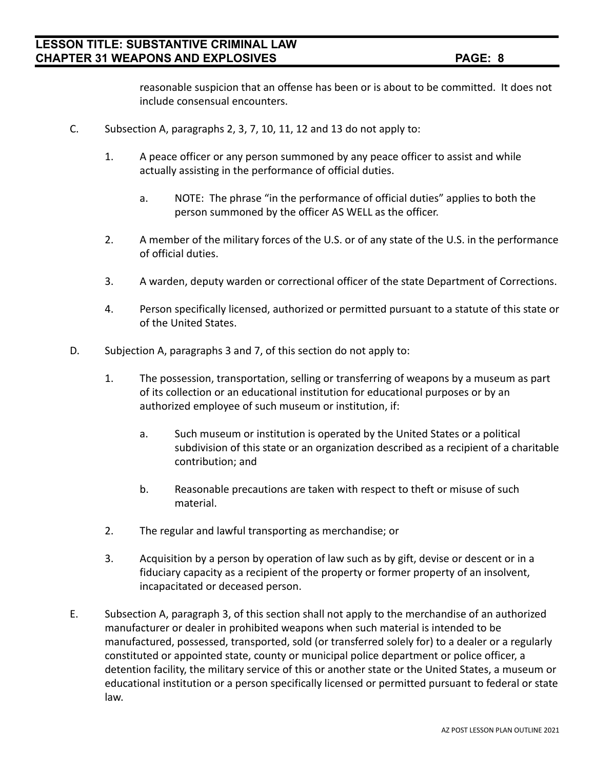reasonable suspicion that an offense has been or is about to be committed. It does not include consensual encounters.

- C. Subsection A, paragraphs 2, 3, 7, 10, 11, 12 and 13 do not apply to:
	- 1. A peace officer or any person summoned by any peace officer to assist and while actually assisting in the performance of official duties.
		- a. NOTE: The phrase "in the performance of official duties" applies to both the person summoned by the officer AS WELL as the officer.
	- 2. A member of the military forces of the U.S. or of any state of the U.S. in the performance of official duties.
	- 3. A warden, deputy warden or correctional officer of the state Department of Corrections.
	- 4. Person specifically licensed, authorized or permitted pursuant to a statute of this state or of the United States.
- D. Subjection A, paragraphs 3 and 7, of this section do not apply to:
	- 1. The possession, transportation, selling or transferring of weapons by a museum as part of its collection or an educational institution for educational purposes or by an authorized employee of such museum or institution, if:
		- a. Such museum or institution is operated by the United States or a political subdivision of this state or an organization described as a recipient of a charitable contribution; and
		- b. Reasonable precautions are taken with respect to theft or misuse of such material.
	- 2. The regular and lawful transporting as merchandise; or
	- 3. Acquisition by a person by operation of law such as by gift, devise or descent or in a fiduciary capacity as a recipient of the property or former property of an insolvent, incapacitated or deceased person.
- E. Subsection A, paragraph 3, of this section shall not apply to the merchandise of an authorized manufacturer or dealer in prohibited weapons when such material is intended to be manufactured, possessed, transported, sold (or transferred solely for) to a dealer or a regularly constituted or appointed state, county or municipal police department or police officer, a detention facility, the military service of this or another state or the United States, a museum or educational institution or a person specifically licensed or permitted pursuant to federal or state law.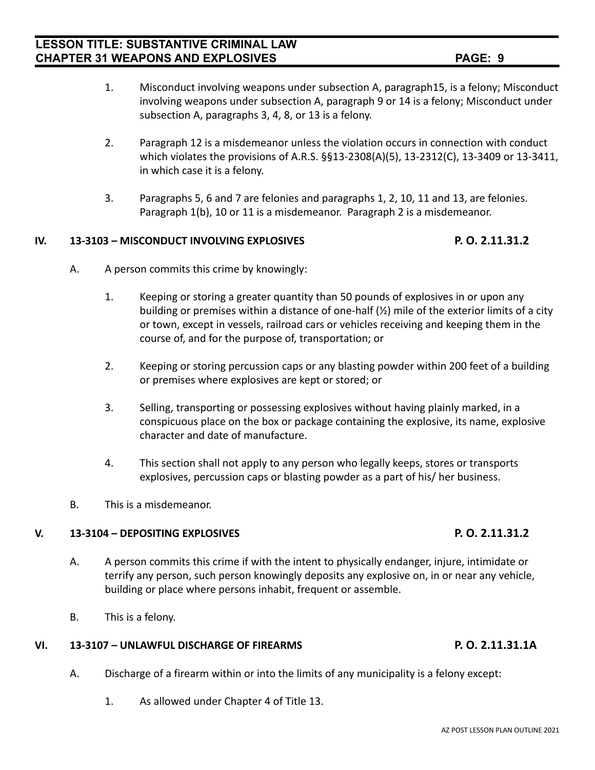- 
- 1. Misconduct involving weapons under subsection A, paragraph15, is a felony; Misconduct involving weapons under subsection A, paragraph 9 or 14 is a felony; Misconduct under subsection A, paragraphs 3, 4, 8, or 13 is a felony.
- 2. Paragraph 12 is a misdemeanor unless the violation occurs in connection with conduct which violates the provisions of A.R.S. §§13-2308(A)(5), 13-2312(C), 13-3409 or 13-3411, in which case it is a felony.
- 3. Paragraphs 5, 6 and 7 are felonies and paragraphs 1, 2, 10, 11 and 13, are felonies. Paragraph 1(b), 10 or 11 is a misdemeanor. Paragraph 2 is a misdemeanor.

## **IV. 13-3103 – MISCONDUCT INVOLVING EXPLOSIVES P. O. 2.11.31.2**

- A. A person commits this crime by knowingly:
	- 1. Keeping or storing a greater quantity than 50 pounds of explosives in or upon any building or premises within a distance of one-half (½) mile of the exterior limits of a city or town, except in vessels, railroad cars or vehicles receiving and keeping them in the course of, and for the purpose of, transportation; or
	- 2. Keeping or storing percussion caps or any blasting powder within 200 feet of a building or premises where explosives are kept or stored; or
	- 3. Selling, transporting or possessing explosives without having plainly marked, in a conspicuous place on the box or package containing the explosive, its name, explosive character and date of manufacture.
	- 4. This section shall not apply to any person who legally keeps, stores or transports explosives, percussion caps or blasting powder as a part of his/ her business.
- B. This is a misdemeanor.

## **V. 13-3104 – DEPOSITING EXPLOSIVES P. O. 2.11.31.2**

- A. A person commits this crime if with the intent to physically endanger, injure, intimidate or terrify any person, such person knowingly deposits any explosive on, in or near any vehicle, building or place where persons inhabit, frequent or assemble.
- B. This is a felony.

## **VI. 13-3107 – UNLAWFUL DISCHARGE OF FIREARMS P. O. 2.11.31.1A**

- A. Discharge of a firearm within or into the limits of any municipality is a felony except:
	- 1. As allowed under Chapter 4 of Title 13.

## AZ POST LESSON PLAN OUTLINE 2021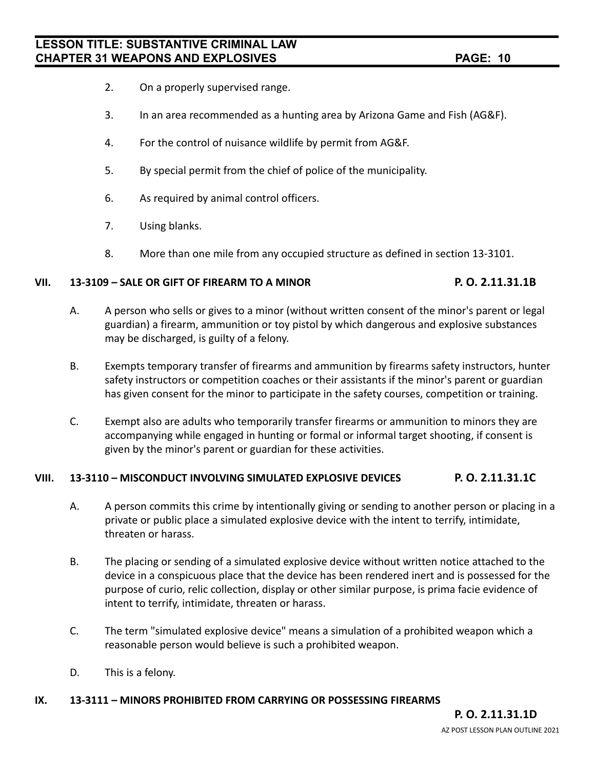- 2. On a properly supervised range.
- 3. In an area recommended as a hunting area by Arizona Game and Fish (AG&F).
- 4. For the control of nuisance wildlife by permit from AG&F.
- 5. By special permit from the chief of police of the municipality.
- 6. As required by animal control officers.
- 7. Using blanks.
- 8. More than one mile from any occupied structure as defined in section 13-3101.

## **VII. 13-3109 – SALE OR GIFT OF FIREARM TO A MINOR P. O. 2.11.31.1B**

- A. A person who sells or gives to a minor (without written consent of the minor's parent or legal guardian) a firearm, ammunition or toy pistol by which dangerous and explosive substances may be discharged, is guilty of a felony.
- B. Exempts temporary transfer of firearms and ammunition by firearms safety instructors, hunter safety instructors or competition coaches or their assistants if the minor's parent or guardian has given consent for the minor to participate in the safety courses, competition or training.
- C. Exempt also are adults who temporarily transfer firearms or ammunition to minors they are accompanying while engaged in hunting or formal or informal target shooting, if consent is given by the minor's parent or guardian for these activities.

## **VIII. 13-3110 – MISCONDUCT INVOLVING SIMULATED EXPLOSIVE DEVICES P. O. 2.11.31.1C**

- A. A person commits this crime by intentionally giving or sending to another person or placing in a private or public place a simulated explosive device with the intent to terrify, intimidate, threaten or harass.
- B. The placing or sending of a simulated explosive device without written notice attached to the device in a conspicuous place that the device has been rendered inert and is possessed for the purpose of curio, relic collection, display or other similar purpose, is prima facie evidence of intent to terrify, intimidate, threaten or harass.
- C. The term "simulated explosive device" means a simulation of a prohibited weapon which a reasonable person would believe is such a prohibited weapon.
- D. This is a felony.

## **IX. 13-3111 – MINORS PROHIBITED FROM CARRYING OR POSSESSING FIREARMS**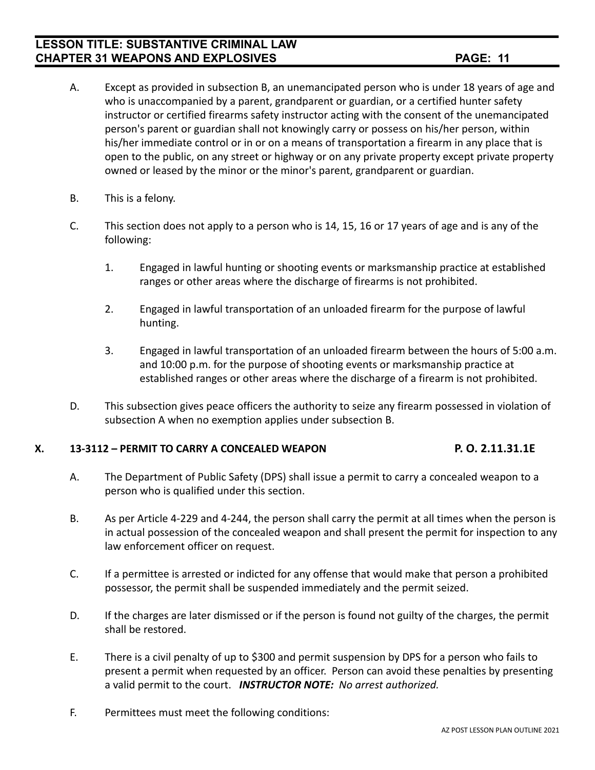## **LESSON TITLE: SUBSTANTIVE CRIMINAL LAW CHAPTER 31 WEAPONS AND EXPLOSIVES PAGE: 11**

- A. Except as provided in subsection B, an unemancipated person who is under 18 years of age and who is unaccompanied by a parent, grandparent or guardian, or a certified hunter safety instructor or certified firearms safety instructor acting with the consent of the unemancipated person's parent or guardian shall not knowingly carry or possess on his/her person, within his/her immediate control or in or on a means of transportation a firearm in any place that is open to the public, on any street or highway or on any private property except private property owned or leased by the minor or the minor's parent, grandparent or guardian.
- B. This is a felony.
- C. This section does not apply to a person who is 14, 15, 16 or 17 years of age and is any of the following:
	- 1. Engaged in lawful hunting or shooting events or marksmanship practice at established ranges or other areas where the discharge of firearms is not prohibited.
	- 2. Engaged in lawful transportation of an unloaded firearm for the purpose of lawful hunting.
	- 3. Engaged in lawful transportation of an unloaded firearm between the hours of 5:00 a.m. and 10:00 p.m. for the purpose of shooting events or marksmanship practice at established ranges or other areas where the discharge of a firearm is not prohibited.
- D. This subsection gives peace officers the authority to seize any firearm possessed in violation of subsection A when no exemption applies under subsection B.

## **X. 13-3112 – PERMIT TO CARRY A CONCEALED WEAPON P. O. 2.11.31.1E**

- 
- A. The Department of Public Safety (DPS) shall issue a permit to carry a concealed weapon to a person who is qualified under this section.
- B. As per Article 4-229 and 4-244, the person shall carry the permit at all times when the person is in actual possession of the concealed weapon and shall present the permit for inspection to any law enforcement officer on request.
- C. If a permittee is arrested or indicted for any offense that would make that person a prohibited possessor, the permit shall be suspended immediately and the permit seized.
- D. If the charges are later dismissed or if the person is found not guilty of the charges, the permit shall be restored.
- E. There is a civil penalty of up to \$300 and permit suspension by DPS for a person who fails to present a permit when requested by an officer. Person can avoid these penalties by presenting a valid permit to the court. *INSTRUCTOR NOTE: No arrest authorized.*
- F. Permittees must meet the following conditions: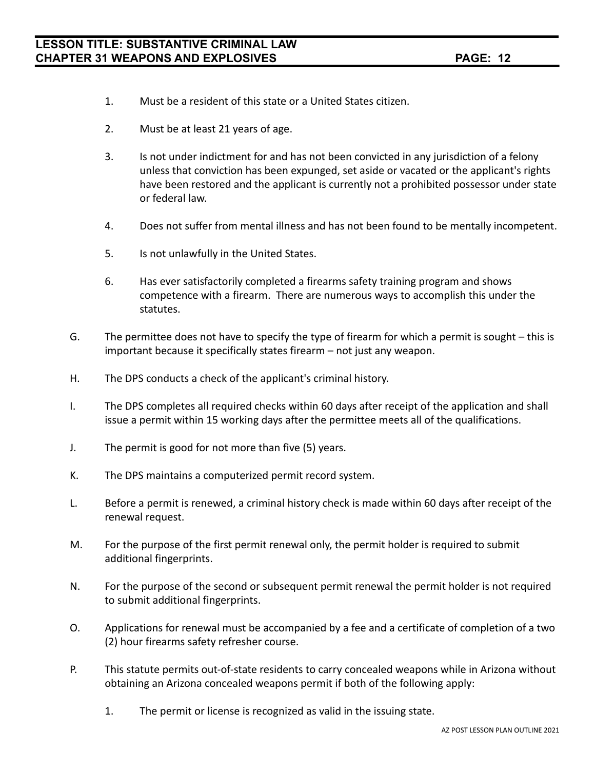- 1. Must be a resident of this state or a United States citizen.
- 2. Must be at least 21 years of age.
- 3. Is not under indictment for and has not been convicted in any jurisdiction of a felony unless that conviction has been expunged, set aside or vacated or the applicant's rights have been restored and the applicant is currently not a prohibited possessor under state or federal law.
- 4. Does not suffer from mental illness and has not been found to be mentally incompetent.
- 5. Is not unlawfully in the United States.
- 6. Has ever satisfactorily completed a firearms safety training program and shows competence with a firearm. There are numerous ways to accomplish this under the statutes.
- G. The permittee does not have to specify the type of firearm for which a permit is sought this is important because it specifically states firearm – not just any weapon.
- H. The DPS conducts a check of the applicant's criminal history.
- I. The DPS completes all required checks within 60 days after receipt of the application and shall issue a permit within 15 working days after the permittee meets all of the qualifications.
- J. The permit is good for not more than five (5) years.
- K. The DPS maintains a computerized permit record system.
- L. Before a permit is renewed, a criminal history check is made within 60 days after receipt of the renewal request.
- M. For the purpose of the first permit renewal only, the permit holder is required to submit additional fingerprints.
- N. For the purpose of the second or subsequent permit renewal the permit holder is not required to submit additional fingerprints.
- O. Applications for renewal must be accompanied by a fee and a certificate of completion of a two (2) hour firearms safety refresher course.
- P. This statute permits out-of-state residents to carry concealed weapons while in Arizona without obtaining an Arizona concealed weapons permit if both of the following apply:
	- 1. The permit or license is recognized as valid in the issuing state.